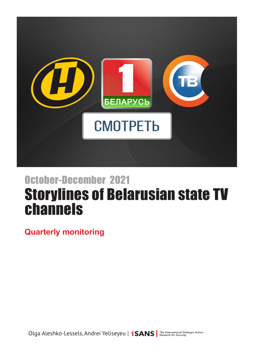

# Storylines of Belarusian state TV channels October-December 2021

**Quarterly monitoring**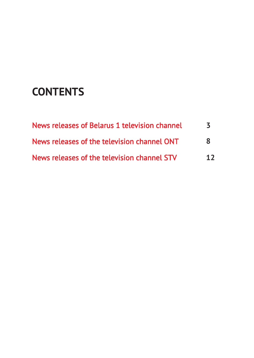## **CONTENTS**

| News releases of Belarus 1 television channel | $\prec$ |
|-----------------------------------------------|---------|
| News releases of the television channel ONT   | 8       |
| News releases of the television channel STV   | 12      |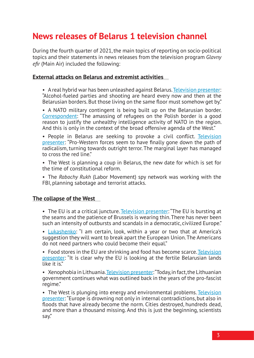## <span id="page-2-0"></span>**News releases of Belarus 1 television channel**

During the fourth quarter of 2021, the main topics of reporting on socio-political topics and their statements in news releases from the television program *Glavny efir* (Main Air) included the following:

#### **External attacks on Belarus and extremist activities**

• A real hybrid war has been unleashed against Belarus. [Television presenter:](https://www.youtube.com/watch?v=pu1-qs1eZZw&t=135s) "Alcohol-fueled parties and shooting are heard every now and then at the Belarusian borders. But those living on the same floor must somehow get by."

• A NATO military contingent is being built up on the Belarusian border. [Correspondent](http://www.youtube.com/watch?v=PqRXdg_Ts9w&t=58m5s): "The amassing of refugees on the Polish border is a good reason to justify the unhealthy intelligence activity of NATO in the region. And this is only in the context of the broad offensive agenda of the West."

• People in Belarus are seeking to provoke a civil conflict. Television [presenter](https://www.youtube.com/watch?v=T_d2GJKl6x0&t=35s): "Pro-Western forces seem to have finally gone down the path of radicalism, turning towards outright terror. The marginal layer has managed to cross the red line"

• The West is planning a coup in Belarus, the new date for which is set for the time of constitutional reform.

• The *Rabochy Rukh* (Labor Movement) spy network was working with the FBI, planning sabotage and terrorist attacks.

#### **The collapse of the West**

• The EU is at a critical juncture. [Television presenter:](https://www.youtube.com/watch?v=RIYo0P1Yx-s&t=2655s) "The EU is bursting at the seams and the patience of Brussels is wearing thin. There has never been such an intensity of outbursts and scandals in a democratic, civilized Europe."

• [Lukashenko](https://www.tvr.by/videogallery/informatsionno-analiticheskie/glavnyy-efir/tanki-nato-vozle-granitsy-belorusskaya-ekonomika-pokazala-nastoyashchee-chudo-rak-zapad-ispolzuet-mi/): "I am certain, look, within a year or two that at America's suggestion they will want to break apart the European Union. The Americans do not need partners who could become their equal."

• Food stores in the EU are shrinking and food has become scarce. Television [presenter:](https://www.youtube.com/watch?v=vuAWxvAnhy0&t=5258s) "It is clear why the EU is looking at the fertile Belarusian lands like it is"

• Xenophobia in Lithuania. [Television presenter:](https://www.youtube.com/watch?v=JOFRCA9-_oE&t=4100s) "Today, in fact, the Lithuanian government continues what was outlined back in the years of the pro-fascist regime."

• The West is plunging into energy and environmental problems. Television [presenter:](https://www.youtube.com/watch?v=7G6gZxhCgjg&t=2995s) "Europe is drowning not only in internal contradictions, but also in floods that have already become the norm. Cities destroyed, hundreds dead, and more than a thousand missing. And this is just the beginning, scientists say."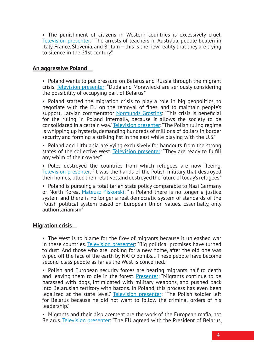• The punishment of citizens in Western countries is excessively cruel. [Television presenter](https://www.youtube.com/watch?v=T_d2GJKl6x0&t=55s): "The arrests of teachers in Australia, people beaten in Italy, France, Slovenia, and Britain – this is the new reality that they are trying to silence in the 21st century."

#### **An aggressive Poland**

• Poland wants to put pressure on Belarus and Russia through the migrant crisis. [Television presenter:](https://www.youtube.com/watch?v=vuAWxvAnhy0&t=2950s) "Duda and Morawiecki are seriously considering the possibility of occupying part of Belarus."

• Poland started the migration crisis to play a role in big geopolitics, to negotiate with the EU on the removal of fines, and to maintain people's support. Latvian commentator [Normunds Grostins](https://www.youtube.com/watch?v=PqRXdg_Ts9w&t=3221s): "This crisis is beneficial for the ruling in Poland internally, because it allows the society to be consolidated in a certain way." [Television presenter](http://www.youtube.com/watch?v=Kwc2ntKtwkY&t=24m10s): "The Polish ruling regime is whipping up hysteria, demanding hundreds of millions of dollars in border security and forming a striking fist in the east while playing with the U.S."

• Poland and Lithuania are vying exclusively for handouts from the strong states of the collective West. [Television presenter](https://www.tvr.by/videogallery/informatsionno-analiticheskie/glavnyy-efir/tanki-nato-vozle-granitsy-belorusskaya-ekonomika-pokazala-nastoyashchee-chudo-rak-zapad-ispolzuet-mi/): "They are ready to fulfill any whim of their owner."

• Poles destroyed the countries from which refugees are now fleeing. [Television presenter:](https://www.youtube.com/watch?v=vuAWxvAnhy0&t=3910s) "It was the hands of the Polish military that destroyed their homes, killed their relatives, and destroyed the future of today's refugees."

• Poland is pursuing a totalitarian state policy comparable to Nazi Germany or North Korea. [Mateusz Piskorski](https://www.youtube.com/watch?v=oYiuddUWPPo&t=2500s): "In Poland there is no longer a justice system and there is no longer a real democratic system of standards of the Polish political system based on European Union values. Essentially, only authoritarianism."

#### **Migration crisis**

• The West is to blame for the flow of migrants because it unleashed war in these countries. [Television presenter](http://www.youtube.com/watch?v=vuAWxvAnhy0&t=33m0s): "Big political promises have turned to dust. And those who are looking for a new home, after the old one was wiped off the face of the earth by NATO bombs... These people have become second-class people as far as the West is concerned."

• Polish and European security forces are beating migrants half to death and leaving them to die in the forest. **[Presenter](https://www.youtube.com/watch?v=4980vjM8kHY&t=1380s):** "Migrants continue to be harassed with dogs, intimidated with military weapons, and pushed back into Belarusian territory with batons. In Poland, this process has even been legalized at the state level." [Television presenter](http://www.youtube.com/watch?v=Kwc2ntKtwkY&t=3m40s): "The Polish soldier left for Belarus because he did not want to follow the criminal orders of his leadership."

• Migrants and their displacement are the work of the European mafia, not Belarus. [Television presenter:](https://www.youtube.com/watch?v=PqRXdg_Ts9w&t=1632s) "The EU agreed with the President of Belarus,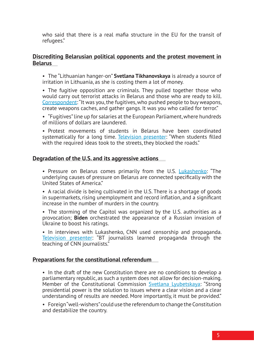who said that there is a real mafia structure in the EU for the transit of refugees."

#### **Discrediting Belarusian political opponents and the protest movement in Belarus**

• The "Lithuanian hanger-on" **Svetlana Tikhanovskaya** is already a source of irritation in Lithuania, as she is costing them a lot of money.

• The fugitive opposition are criminals. They pulled together those who would carry out terrorist attacks in Belarus and those who are ready to kill. [Correspondent](https://www.youtube.com/watch?v=T_d2GJKl6x0&t=1640s): "It was you, the fugitives, who pushed people to buy weapons, create weapons caches, and gather gangs. It was you who called for terror."

• "Fugitives" line up for salaries at the European Parliament, where hundreds of millions of dollars are laundered.

• Protest movements of students in Belarus have been coordinated systematically for a long time. [Television presenter](https://www.youtube.com/watch?v=SGL7YTuR2HE&t=1020s): "When students filled with the required ideas took to the streets, they blocked the roads."

#### **Degradation of the U.S. and its aggressive actions**

• Pressure on Belarus comes primarily from the U.S. [Lukashenko](https://www.youtube.com/watch?v=3MSFap6tauI&t=407s): "The underlying causes of pressure on Belarus are connected specifically with the United States of America."

• A racial divide is being cultivated in the U.S. There is a shortage of goods in supermarkets, rising unemployment and record inflation, and a significant increase in the number of murders in the country.

• The storming of the Capitol was organized by the U.S. authorities as a provocation; **Biden** orchestrated the appearance of a Russian invasion of Ukraine to boost his ratings.

• In interviews with Lukashenko, CNN used censorship and propaganda. [Television presenter:](https://www.youtube.com/watch?v=T_d2GJKl6x0&t=860s) "BT journalists learned propaganda through the teaching of CNN journalists."

#### **Preparations for the constitutional referendum**

• In the draft of the new Constitution there are no conditions to develop a parliamentary republic, as such a system does not allow for decision-making. Member of the Constitutional Commission [Svetlana Lyubetskaya:](https://www.youtube.com/watch?v=7G6gZxhCgjg&t=1902s) "Strong presidential power is the solution to issues where a clear vision and a clear understanding of results are needed. More importantly, it must be provided."

• Foreign "well-wishers" could use the referendum to change the Constitution and destabilize the country.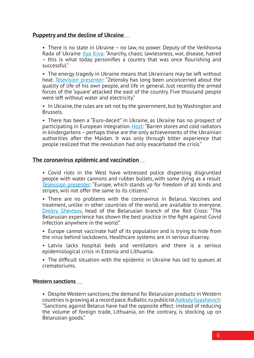#### **Puppetry and the decline of Ukraine**

• There is no state in Ukraine – no law, no power. Deputy of the Verkhovna Rada of Ukraine [Ilya Kiva:](https://www.youtube.com/watch?v=SGL7YTuR2HE&t=2825s) "Anarchy, chaos, lawlessness, war, disease, hatred – this is what today personifies a country that was once flourishing and successful."

• The energy tragedy in Ukraine means that Ukrainians may be left without heat. [Television presenter:](https://www.youtube.com/watch?v=T_d2GJKl6x0&t=61m38s) "Zelensky has long been unconcerned about the quality of life of his own people, and life in general. Just recently the armed forces of the 'square' attacked the east of the country. Five thousand people were left without water and electricity."

• In Ukraine, the rules are set not by the government, but by Washington and Brussels.

• There has been a "Euro-deceit" in Ukraine, as Ukraine has no prospect of participating in European integration. [Host](https://www.youtube.com/watch?v=4980vjM8kHY&t=43m50s): "Barren stores and cold radiators in kindergartens – perhaps these are the only achievements of the Ukrainian authorities after the Maidan. It was only through bitter experience that people realized that the revolution had only exacerbated the crisis."

#### **The coronavirus epidemic and vaccination**

• Covid riots in the West have witnessed police dispersing disgruntled people with water cannons and rubber bullets, with some dying as a result. [Television presenter:](https://www.youtube.com/watch?v=PqRXdg_Ts9w&t=5125s) "Europe, which stands up for freedom of all kinds and stripes, will not offer the same to its citizens."

• There are no problems with the coronavirus in Belarus. Vaccines and treatment, unlike in other countries of the world, are available to everyone. [Dmitry Shevtsov](https://www.youtube.com/watch?v=pu1-qs1eZZw&t=3075s), head of the Belarusian branch of the Red Cross: "The Belarusian experience has shown the best practice in the fight against Covid infection anywhere in the world."

• Europe cannot vaccinate half of its population and is trying to hide from the virus behind lockdowns. Healthcare systems are in serious disarray.

• Latvia lacks hospital beds and ventilators and there is a serious epidemiological crisis in Estonia and Lithuania.

• The difficult situation with the epidemic in Ukraine has led to queues at crematoriums.

#### **Western sanctions**

• Despite Western sanctions, the demand for Belarusian products in Western countries is growing at a record pace. RuBaltic.ru publicist [Aleksey Ilyashevich:](https://www.youtube.com/watch?v=RIYo0P1Yx-s&t=3690s) "Sanctions against Belarus have had the opposite effect: instead of reducing the volume of foreign trade, Lithuania, on the contrary, is stocking up on Belarusian goods."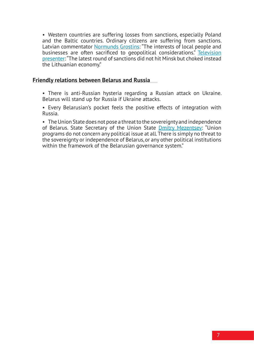• Western countries are suffering losses from sanctions, especially Poland and the Baltic countries. Ordinary citizens are suffering from sanctions. Latvian commentator [Normunds Grostins:](https://www.youtube.com/watch?v=3MSFap6tauI&t=2530s) "The interests of local people and businesses are often sacrificed to geopolitical considerations." Television [presenter:](https://www.youtube.com/watch?v=Kwc2ntKtwkY&t=1830s) "The latest round of sanctions did not hit Minsk but choked instead the Lithuanian economy."

#### **Friendly relations between Belarus and Russia**

• There is anti-Russian hysteria regarding a Russian attack on Ukraine. Belarus will stand up for Russia if Ukraine attacks.

• Every Belarusian's pocket feels the positive effects of integration with Russia.

• The Union State does not pose a threat to the sovereignty and independence of Belarus. State Secretary of the Union State [Dmitry Mezentsev](https://www.youtube.com/watch?v=7G6gZxhCgjg&t=2480s): "Union programs do not concern any political issue at all. There is simply no threat to the sovereignty or independence of Belarus, or any other political institutions within the framework of the Belarusian governance system."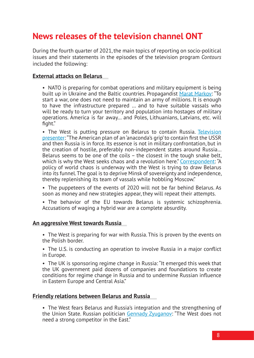## <span id="page-7-0"></span>**News releases of the television channel ONT**

During the fourth quarter of 2021, the main topics of reporting on socio-political issues and their statements in the episodes of the television program *Contours* included the following:

#### **External attacks on Belarus**

• NATO is preparing for combat operations and military equipment is being built up in Ukraine and the Baltic countries. Propagandist [Marat Markov](https://www.youtube.com/watch?v=ude8gGChThY&t=4275s): "To start a war, one does not need to maintain an army of millions. It is enough to have the infrastructure prepared … and to have suitable vassals who will be ready to turn your territory and population into hostages of military operations. America is far away… and Poles, Lithuanians, Latvians, etc. will fight."

• The West is putting pressure on Belarus to contain Russia. Television [presenter](http://www.youtube.com/watch?v=ude8gGChThY&t=2m0s): "The American plan of an 'anaconda's grip' to contain first the USSR and then Russia is in force. Its essence is not in military confrontation, but in the creation of hostile, preferably non-independent states around Russia… Belarus seems to be one of the coils – the closest in the tough snake belt, which is why the West seeks chaos and a revolution here." [Correspondent](http://www.youtube.com/watch?v=33TRV50vWrM&t=52m5s): "A policy of world chaos is underway with the West is trying to draw Belarus into its funnel. The goal is to deprive Minsk of sovereignty and independence, thereby replenishing its team of vassals while hobbling Moscow."

- The puppeteers of the events of 2020 will not be far behind Belarus. As soon as money and new strategies appear, they will repeat their attempts.
- The behavior of the EU towards Belarus is systemic schizophrenia. Accusations of waging a hybrid war are a complete absurdity.

#### **An aggressive West towards Russia**

• The West is preparing for war with Russia. This is proven by the events on the Polish border.

• The U.S. is conducting an operation to involve Russia in a major conflict in Europe.

• The UK is sponsoring regime change in Russia: "It emerged this week that the UK government paid dozens of companies and foundations to create conditions for regime change in Russia and to undermine Russian influence in Eastern Europe and Central Asia."

#### **Friendly relations between Belarus and Russia**

• The West fears Belarus and Russia's integration and the strengthening of the Union State. Russian politician [Gennady Zyuganov:](http://www.youtube.com/watch?v=K8jRY0R-MTA&t=61m48s) "The West does not need a strong competitor in the East."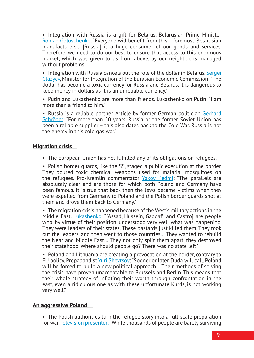• Integration with Russia is a gift for Belarus. Belarusian Prime Minister [Roman Golovchenko](https://www.youtube.com/watch?v=K8jRY0R-MTA&t=350s): "Everyone will benefit from this – foremost, Belarusian manufacturers… [Russia] is a huge consumer of our goods and services. Therefore, we need to do our best to ensure that access to this enormous market, which was given to us from above, by our neighbor, is managed without problems."

• Integration with Russia cancels out the role of the dollar in Belarus. Sergei [Glazyev,](https://www.youtube.com/watch?v=P8B2nWZYuHg&t=1645s) Minister for Integration of the Eurasian Economic Commission: "The dollar has become a toxic currency for Russia and Belarus. It is dangerous to keep money in dollars as it is an unreliable currency."

• Putin and Lukashenko are more than friends. Lukashenko on Putin: "I am more than a friend to him."

• Russia is a reliable partner. Article by former German politician Gerhard [Schröder](https://www.youtube.com/watch?v=P8B2nWZYuHg&t=1850s): "For more than 50 years, Russia or the former Soviet Union has been a reliable supplier – this also dates back to the Cold War. Russia is not the enemy in this cold gas war."

#### **Migration crisis**

• The European Union has not fulfilled any of its obligations on refugees.

• Polish border guards, like the SS, staged a public execution at the border. They poured toxic chemical weapons used for malarial mosquitoes on the refugees. Pro-Kremlin commentator [Yakov Kedmi](http://www.youtube.com/watch?v=cRczgP_Yz5Q&t=60m50s): "The parallels are absolutely clear and are those for which both Poland and Germany have been famous. It is true that back then the Jews became victims when they were expelled from Germany to Poland and the Polish border guards shot at them and drove them back to Germany."

• The migration crisis happened because of the West's military actions in the Middle East. *[Lukashenko](http://www.youtube.com/watch?v=cRczgP_Yz5Q&t=24m45s)*: "[Assad, Hussein, Gaddafi, and Castro] are people who, by virtue of their position, understood very well what was happening. They were leaders of their states. These bastards just killed them. They took out the leaders, and then went to those countries… They wanted to rebuild the Near and Middle East… They not only split them apart, they destroyed their statehood. Where should people go? There was no state left."

• Poland and Lithuania are creating a provocation at the border, contrary to EU policy. Propagandist [Yuri Shevtsov](http://www.youtube.com/watch?v=cRczgP_Yz5Q&t=60m50s): "Sooner or later, Duda will call. Poland will be forced to build a new political approach… Their methods of solving the crisis have proven unacceptable to Brussels and Berlin. This means that their whole strategy of inflating their worth through confrontation in the east, even a ridiculous one as with these unfortunate Kurds, is not working very well."

#### **An aggressive Poland**

• The Polish authorities turn the refugee story into a full-scale preparation for war. [Television presenter:](http://www.youtube.com/watch?v=cRczgP_Yz5Q&t=38m0s) "While thousands of people are barely surviving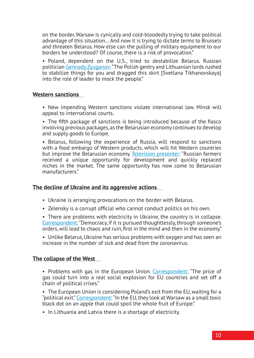on the border, Warsaw is cynically and cold-bloodedly trying to take political advantage of this situation… And now it is trying to dictate terms to Brussels and threaten Belarus. How else can the pulling of military equipment to our borders be understood? Of course, there is a risk of provocation."

• Poland, dependent on the U.S., tried to destabilize Belarus. Russian politician [Gennady Zyuganov:](http://www.youtube.com/watch?v=K8jRY0R-MTA&t=61m48s) "The Polish gentry and Lithuanian lords rushed to stabilize things for you and dragged this skirt [Svetlana Tikhanovskaya] into the role of leader to mock the people."

#### **Western sanctions**

• New impending Western sanctions violate international law. Minsk will appeal to international courts.

• The fifth package of sanctions is being introduced because of the fiasco involving previous packages, as the Belarusian economy continues to develop and supply goods to Europe.

• Belarus, following the experience of Russia, will respond to sanctions with a food embargo of Western products, which will hit Western countries but improve the Belarusian economy. [Television presenter:](http://www.youtube.com/watch?v=33TRV50vWrM&t=14m50s) "Russian farmers received a unique opportunity for development and quickly replaced niches in the market. The same opportunity has now come to Belarusian manufacturers."

#### **The decline of Ukraine and its aggressive actions**

- Ukraine is arranging provocations on the border with Belarus.
- Zelensky is a corrupt official who cannot conduct politics on his own.
- There are problems with electricity in Ukraine, the country is in collapse. [Correspondent](http://www.youtube.com/watch?v=ude8gGChThYhY&t=17m5s): "Democracy, if it is pursued thoughtlessly, through someone's orders, will lead to chaos and ruin, first in the mind and then in the economy."

• Unlike Belarus, Ukraine has serious problems with oxygen and has seen an increase in the number of sick and dead from the coronavirus.

#### **The collapse of the West**

• Problems with gas in the European Union. [Correspondent:](https://www.youtube.com/watch?v=k1bFPppsAHE&t=2910s) "The price of gas could turn into a real social explosion for EU countries and set off a chain of political crises."

• The European Union is considering Poland's exit from the EU, waiting for a "political exit." [Correspondent](https://www.youtube.com/watch?v=yKoZzoEdSWE&t=3196s): "In the EU, they look at Warsaw as a small toxic black dot on an apple that could spoil the whole fruit of Europe."

• In Lithuania and Latvia there is a shortage of electricity.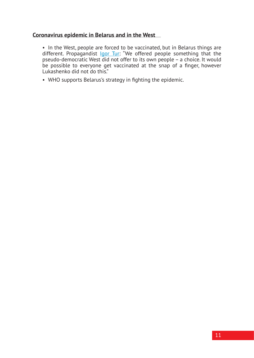#### **Coronavirus epidemic in Belarus and in the West**

• In the West, people are forced to be vaccinated, but in Belarus things are different. Propagandist lgor Tur: "We offered people something that the pseudo-democratic West did not offer to its own people – a choice. It would be possible to everyone get vaccinated at the snap of a finger, however Lukashenko did not do this."

• WHO supports Belarus's strategy in fighting the epidemic.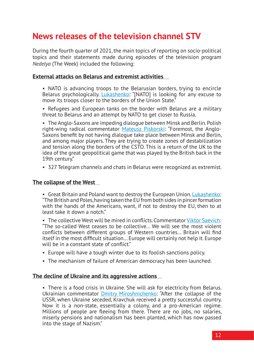## <span id="page-11-0"></span>**News releases of the television channel STV**

During the fourth quarter of 2021, the main topics of reporting on socio-political topics and their statements made during episodes of the television program *Nedelya* (The Week) included the following:

#### **External attacks on Belarus and extremist activities**

• NATO is advancing troops to the Belarusian borders, trying to encircle Belarus psychologically. [Lukashenko:](http://www.youtube.com/watch?v=Xs1LCba-lNs&t=14m15s) "[NATO] is looking for any excuse to move its troops closer to the borders of the Union State."

• Refugees and European tanks on the border with Belarus are a military threat to Belarus and an attempt by NATO to get closer to Russia.

• The Anglo-Saxons are impeding dialogue between Minsk and Berlin. Polish right-wing radical commentator [Mateusz Piskorski](http://www.youtube.com/watch?v=ejXbbhp4lJIs&t=31m50s): "Foremost, the Anglo-Saxons benefit by not having dialogue take place between Minsk and Berlin, and among major players. They are trying to create zones of destabilization and tension along the borders of the CSTO. This is a return of the UK to the idea of the great geopolitical game that was played by the British back in the 19th century."

• 327 Telegram channels and chats in Belarus were recognized as extremist.

#### **The collapse of the West**

• Great Britain and Poland want to destroy the European Union. [Lukashenko:](http://www.youtube.com/watch?v=Q6toXN35of0&t=34m35s) "The British and Poles, having taken the EU from both sides in pincer formation with the hands of the Americans, want, if not to destroy the EU, then to at least take it down a notch."

• The collective West will be mired in conflicts. Commentator [Viktor Saevich:](http://www.youtube.com/watch?v=iuRlsnFXpMg%20&t=18m20s) "The so-called West ceases to be collective… We will see the most violent conflicts between different groups of Western countries… Britain will find itself in the most difficult situation… Europe will certainly not help it. Europe will be in a constant state of conflict."

- Europe will have a tough winter due to its foolish sanctions policy.
- The mechanism of failure of American democracy has been launched.

#### **The decline of Ukraine and its aggressive actions**

• There is a food crisis in Ukraine. She will ask for electricity from Belarus. Ukrainian commentator **[Dmitry Miroshnichenko](http://www.youtube.com/watch?v=QcLN5tX4qoA%20&t=13m30s):** "After the collapse of the USSR, when Ukraine seceded, Kravchuk received a pretty successful country. Now it is a non-state, essentially a colony, and a pro-American regime. Millions of people are fleeing from there. There are no jobs, no salaries, miserly pensions and nationalism has been planted, which has now passed into the stage of Nazism."